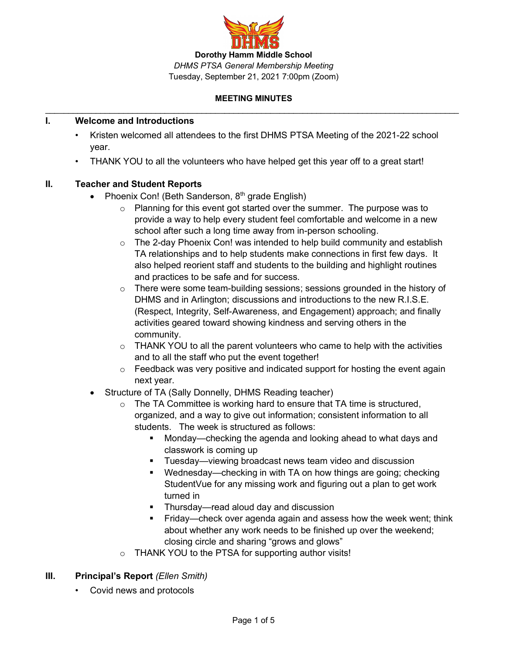

## **I. Welcome and Introductions**

- Kristen welcomed all attendees to the first DHMS PTSA Meeting of the 2021-22 school year.
- ! THANK YOU to all the volunteers who have helped get this year off to a great start!

## **II. Teacher and Student Reports**

- Phoenix Con! (Beth Sanderson,  $8<sup>th</sup>$  grade English)
	- $\circ$  Planning for this event got started over the summer. The purpose was to provide a way to help every student feel comfortable and welcome in a new school after such a long time away from in-person schooling.
	- $\circ$  The 2-day Phoenix Con! was intended to help build community and establish TA relationships and to help students make connections in first few days. It also helped reorient staff and students to the building and highlight routines and practices to be safe and for success.
	- $\circ$  There were some team-building sessions; sessions grounded in the history of DHMS and in Arlington; discussions and introductions to the new R.I.S.E. (Respect, Integrity, Self-Awareness, and Engagement) approach; and finally activities geared toward showing kindness and serving others in the community.
	- $\circ$  THANK YOU to all the parent volunteers who came to help with the activities and to all the staff who put the event together!
	- $\circ$  Feedback was very positive and indicated support for hosting the event again next year.
- Structure of TA (Sally Donnelly, DHMS Reading teacher)
	- o The TA Committee is working hard to ensure that TA time is structured, organized, and a way to give out information; consistent information to all students. The week is structured as follows:
		- Monday—checking the agenda and looking ahead to what days and classwork is coming up
		- **Tuesday—viewing broadcast news team video and discussion**
		- Wednesday—checking in with TA on how things are going; checking StudentVue for any missing work and figuring out a plan to get work turned in
		- Thursday—read aloud day and discussion
		- Friday—check over agenda again and assess how the week went; think about whether any work needs to be finished up over the weekend; closing circle and sharing "grows and glows"
	- o THANK YOU to the PTSA for supporting author visits!

# **III. Principal's Report** *(Ellen Smith)*

• Covid news and protocols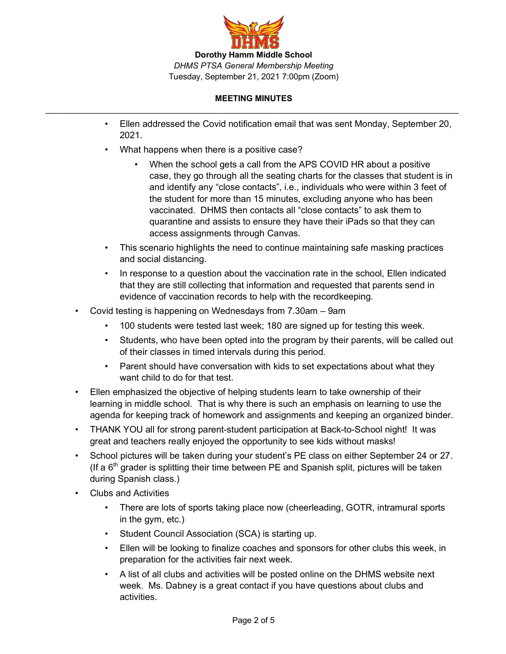

- ! Ellen addressed the Covid notification email that was sent Monday, September 20, 2021.
- What happens when there is a positive case?
	- When the school gets a call from the APS COVID HR about a positive case, they go through all the seating charts for the classes that student is in and identify any "close contacts", i.e., individuals who were within 3 feet of the student for more than 15 minutes, excluding anyone who has been vaccinated. DHMS then contacts all "close contacts" to ask them to quarantine and assists to ensure they have their iPads so that they can access assignments through Canvas.
- ! This scenario highlights the need to continue maintaining safe masking practices and social distancing.
- ! In response to a question about the vaccination rate in the school, Ellen indicated that they are still collecting that information and requested that parents send in evidence of vaccination records to help with the recordkeeping.
- ! Covid testing is happening on Wednesdays from 7.30am 9am
	- 100 students were tested last week; 180 are signed up for testing this week.
	- ! Students, who have been opted into the program by their parents, will be called out of their classes in timed intervals during this period.
	- ! Parent should have conversation with kids to set expectations about what they want child to do for that test.
- ! Ellen emphasized the objective of helping students learn to take ownership of their learning in middle school. That is why there is such an emphasis on learning to use the agenda for keeping track of homework and assignments and keeping an organized binder.
- THANK YOU all for strong parent-student participation at Back-to-School night! It was great and teachers really enjoyed the opportunity to see kids without masks!
- ! School pictures will be taken during your student's PE class on either September 24 or 27. (If a  $6<sup>th</sup>$  grader is splitting their time between PE and Spanish split, pictures will be taken during Spanish class.)
- Clubs and Activities
	- ! There are lots of sports taking place now (cheerleading, GOTR, intramural sports in the gym, etc.)
	- Student Council Association (SCA) is starting up.
	- ! Ellen will be looking to finalize coaches and sponsors for other clubs this week, in preparation for the activities fair next week.
	- ! A list of all clubs and activities will be posted online on the DHMS website next week. Ms. Dabney is a great contact if you have questions about clubs and activities.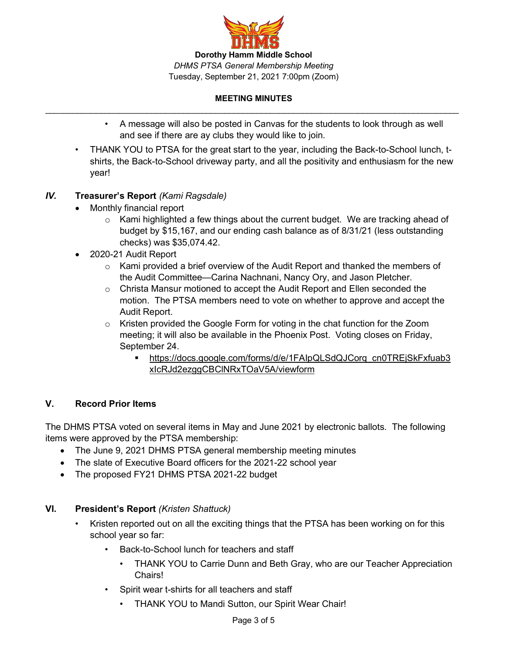

- ! A message will also be posted in Canvas for the students to look through as well and see if there are ay clubs they would like to join.
- THANK YOU to PTSA for the great start to the year, including the Back-to-School lunch, tshirts, the Back-to-School driveway party, and all the positivity and enthusiasm for the new year!

## *IV.* **Treasurer's Report** *(Kami Ragsdale)*

- Monthly financial report
	- $\circ$  Kami highlighted a few things about the current budget. We are tracking ahead of budget by \$15,167, and our ending cash balance as of 8/31/21 (less outstanding checks) was \$35,074.42.
- 2020-21 Audit Report
	- $\circ$  Kami provided a brief overview of the Audit Report and thanked the members of the Audit Committee—Carina Nachnani, Nancy Ory, and Jason Pletcher.
	- o Christa Mansur motioned to accept the Audit Report and Ellen seconded the motion. The PTSA members need to vote on whether to approve and accept the Audit Report.
	- $\circ$  Kristen provided the Google Form for voting in the chat function for the Zoom meeting; it will also be available in the Phoenix Post. Voting closes on Friday, September 24.
		- § https://docs.google.com/forms/d/e/1FAIpQLSdQJCorq\_cn0TREjSkFxfuab3 xIcRJd2ezggCBClNRxTOaV5A/viewform

## **V. Record Prior Items**

The DHMS PTSA voted on several items in May and June 2021 by electronic ballots. The following items were approved by the PTSA membership:

- The June 9, 2021 DHMS PTSA general membership meeting minutes
- The slate of Executive Board officers for the 2021-22 school year
- The proposed FY21 DHMS PTSA 2021-22 budget

## **VI. President's Report** *(Kristen Shattuck)*

- Kristen reported out on all the exciting things that the PTSA has been working on for this school year so far:
	- Back-to-School lunch for teachers and staff
		- THANK YOU to Carrie Dunn and Beth Gray, who are our Teacher Appreciation Chairs!
	- Spirit wear t-shirts for all teachers and staff
		- THANK YOU to Mandi Sutton, our Spirit Wear Chair!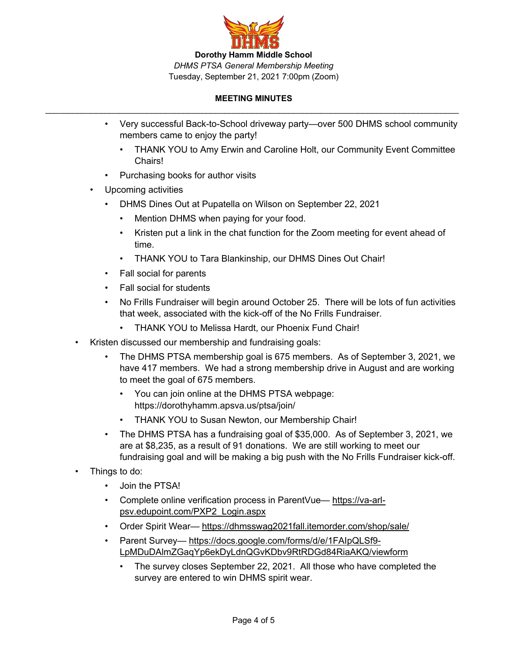

- ! Very successful Back-to-School driveway party—over 500 DHMS school community members came to enjoy the party!
	- . THANK YOU to Amy Erwin and Caroline Holt, our Community Event Committee Chairs!
- Purchasing books for author visits
- Upcoming activities
	- ! DHMS Dines Out at Pupatella on Wilson on September 22, 2021
		- Mention DHMS when paying for your food.
		- ! Kristen put a link in the chat function for the Zoom meeting for event ahead of time.
		- . THANK YOU to Tara Blankinship, our DHMS Dines Out Chair!
	- Fall social for parents
	- Fall social for students
	- ! No Frills Fundraiser will begin around October 25. There will be lots of fun activities that week, associated with the kick-off of the No Frills Fundraiser.
		- . THANK YOU to Melissa Hardt, our Phoenix Fund Chair!
- ! Kristen discussed our membership and fundraising goals:
	- ! The DHMS PTSA membership goal is 675 members. As of September 3, 2021, we have 417 members. We had a strong membership drive in August and are working to meet the goal of 675 members.
		- ! You can join online at the DHMS PTSA webpage: https://dorothyhamm.apsva.us/ptsa/join/
		- THANK YOU to Susan Newton, our Membership Chair!
	- ! The DHMS PTSA has a fundraising goal of \$35,000. As of September 3, 2021, we are at \$8,235, as a result of 91 donations. We are still working to meet our fundraising goal and will be making a big push with the No Frills Fundraiser kick-off.
- Things to do:
	- Join the PTSA!
	- ! Complete online verification process in ParentVue— https://va-arlpsv.edupoint.com/PXP2\_Login.aspx
	- Order Spirit Wear-https://dhmsswag2021fall.itemorder.com/shop/sale/
	- Parent Survey— https://docs.google.com/forms/d/e/1FAIpQLSf9-LpMDuDAlmZGaqYp6ekDyLdnQGvKDbv9RtRDGd84RiaAKQ/viewform
		- ! The survey closes September 22, 2021. All those who have completed the survey are entered to win DHMS spirit wear.